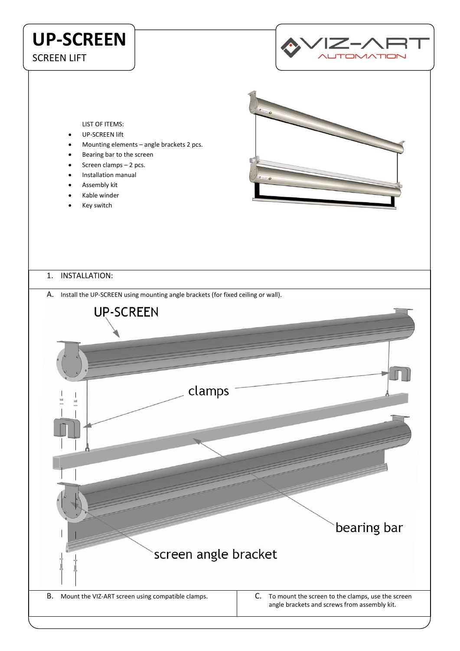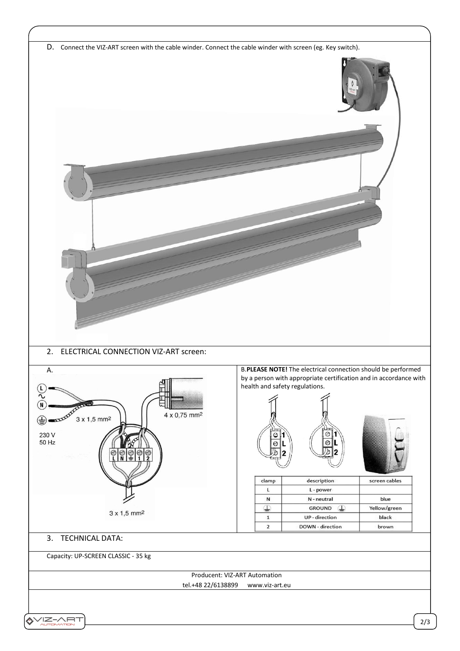